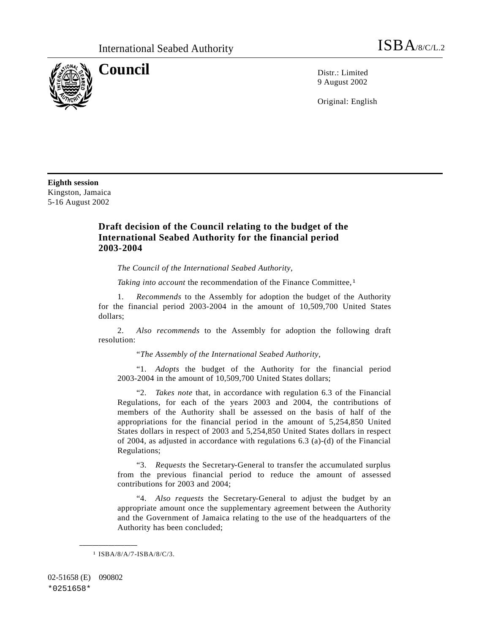

**Council** District Limited

9 August 2002

Original: English

**Eighth session** Kingston, Jamaica 5-16 August 2002

## **Draft decision of the Council relating to the budget of the International Seabed Authority for the financial period 2003-2004**

*The Council of the International Seabed Authority*,

*Taking into account* the recommendation of the Finance Committee,<sup>1</sup>

1. *Recommends* to the Assembly for adoption the budget of the Authority for the financial period 2003-2004 in the amount of 10,509,700 United States dollars;

2. *Also recommends* to the Assembly for adoption the following draft resolution:

"*The Assembly of the International Seabed Authority*,

"1. *Adopts* the budget of the Authority for the financial period 2003-2004 in the amount of 10,509,700 United States dollars;

"2. *Takes note* that, in accordance with regulation 6.3 of the Financial Regulations, for each of the years 2003 and 2004, the contributions of members of the Authority shall be assessed on the basis of half of the appropriations for the financial period in the amount of 5,254,850 United States dollars in respect of 2003 and 5,254,850 United States dollars in respect of 2004, as adjusted in accordance with regulations 6.3 (a)-(d) of the Financial Regulations;

"3. *Requests* the Secretary-General to transfer the accumulated surplus from the previous financial period to reduce the amount of assessed contributions for 2003 and 2004;

"4. *Also requests* the Secretary-General to adjust the budget by an appropriate amount once the supplementary agreement between the Authority and the Government of Jamaica relating to the use of the headquarters of the Authority has been concluded;

1 ISBA/8/A/7-ISBA/8/C/3.

**\_\_\_\_\_\_\_\_\_\_\_\_\_\_\_\_\_\_**

02-51658 (E) 090802 \*0251658\*